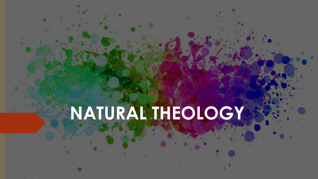## **NATURAL THEOLOGY**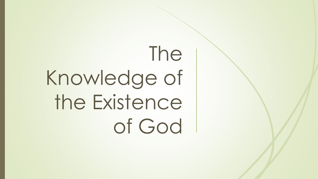## The Knowledge of the Existence of God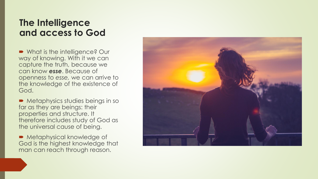#### **The Intelligence and access to God**

■ What is the intelligence? Our way of knowing. With it we can capture the truth, because we can know *esse*. Because of openness to *esse,* we can arrive to the knowledge of the existence of God.

**Metaphysics studies beings in so.** far as they are beings: their properties and structure. It therefore includes study of God as the universal cause of being.

**Metaphysical knowledge of** God is the highest knowledge that man can reach through reason.

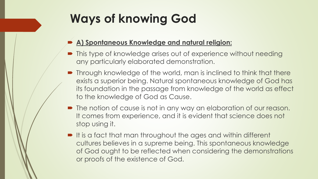### **Ways of knowing God**

#### **A) Spontaneous Knowledge and natural religion:**

- This type of knowledge arises out of experience without needing any particularly elaborated demonstration.
- **Through knowledge of the world, man is inclined to think that there** exists a superior being. Natural spontaneous knowledge of God has its foundation in the passage from knowledge of the world as effect to the knowledge of God as Cause.
- $\blacksquare$  The notion of cause is not in any way an elaboration of our reason. It comes from experience, and it is evident that science does not stop using it.
- It is a fact that man throughout the ages and within different cultures believes in a supreme being. This spontaneous knowledge of God ought to be reflected when considering the demonstrations or proofs of the existence of God.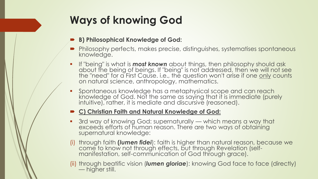### **Ways of knowing God**

- **B) Philosophical Knowledge of God:**
- Philosophy perfects, makes precise, distinguishes, systematises spontaneous knowledge.
- If "being" is what is *most known* about things, then philosophy should ask about the being of beings. If "being" is not addressed, then we will not see the "need" for a First Cause. i.e., the question won't arise if one only counts on natural science, anthropology, mathematics.
- **•** Spontaneous knowledge has a metaphysical scope and can reach knowledge of God. Not the same as saying that it is immediate (purely intuitive), rather, it is mediate and discursive (reasoned).

#### **C) Christian Faith and Natural Knowledge of God:**

- 3rd way of knowing God: supernaturally which means a way that exceeds efforts of human reason. There are two ways of obtaining supernatural knowledge:
- (i) through faith **(***lumen fidei*): faith is higher than natural reason, because we come to know not through effects, but through Revelation (selfmanifestation, self-communication of God through grace).
- (ii) through beatific vision (*lumen gloriae*): knowing God face to face (directly) — higher still.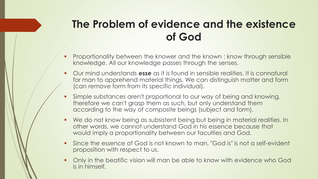### **The Problem of evidence and the existence of God**

- **Proportionality between the knower and the known : know through sensible** knowledge. All our knowledge passes through the senses.
- Our mind understands *esse* as it is found in sensible realities. It is connatural for man to apprehend material things. We can distinguish matter and form (can remove form from its specific individual).
- Simple substances aren't proportional to our way of being and knowing, therefore we can't grasp them as such, but only understand them according to the way of composite beings (subject and form).
- We do not know being as subsistent being but being in material realities. In other words, we cannot understand God in his essence because that would imply a proportionality between our faculties and God.
- Since the essence of God is not known to man, "God is" is not a self-evident proposition with respect to us.
- Only in the beatific vision will man be able to know with evidence who God is in himself.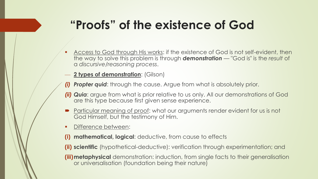### **"Proofs" of the existence of God**

- Access to God through His works: if the existence of God is not self-evident, then the way to solve this problem is through *demonstration* — "God is" is the *result* of a *discursive/reasoning process*.
- **2 types of demonstration**: (Gilson)
- *(i) Propter quid*: through the cause. Argue from what is absolutely prior.
- *(ii) Quia*: argue from what is prior relative to us only. All our demonstrations of God are this type because first given sense experience.
- Particular meaning of proof: what our arguments render evident for us is not God Himself, but the testimony of Him.
- **•** Difference between:
- **(i) mathematical, logical**: deductive, from cause to effects
- **(ii) scientific** (hypothetical-deductive): verification through experimentation; and
- **(iii)metaphysical** demonstration: induction, from single facts to their generalisation or universalisation (foundation being their nature)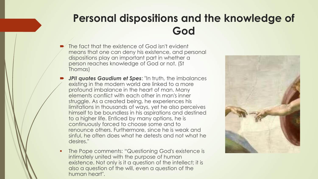### **Personal dispositions and the knowledge of God**

- The fact that the existence of God isn't evident means that one can deny his existence, and personal dispositions play an important part in whether a person reaches knowledge of God or not. (St Thomas)
- *JPII quotes Gaudium et Spes: "In truth, the imbalances"* existing in the modern world are linked to a more profound imbalance in the heart of man. Many elements conflict with each other in man's inner struggle. As a created being, he experiences his limitations in thousands of ways, yet he also perceives himself to be boundless in his aspirations and destined to a higher life. Enticed by many options, he is continuously forced to choose some and to renounce others. Furthermore, since he is weak and sinful, he often does what he detests and not what he desires."
- The Pope comments: "Questioning God's existence is intimately united with the purpose of human existence. Not only is it a question of the intellect; it is also a question of the will, even a question of the human heart".

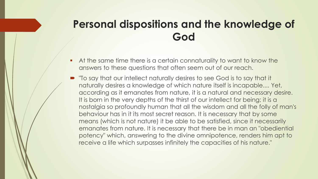### **Personal dispositions and the knowledge of God**

- **•** At the same time there is a certain connaturality to want to know the answers to these questions that often seem out of our reach.
- "To say that our intellect naturally desires to see God is to say that it naturally desires a knowledge of which nature itself is incapable.... Yet, according as it emanates from nature, it is a natural and necessary desire. It is born in the very depths of the thirst of our intellect for being; it is a nostalgia so profoundly human that all the wisdom and all the folly of man's behaviour has in it its most secret reason. It is necessary that by some means (which is not nature) it be able to be satisfied, since it necessarily emanates from nature. It is necessary that there be in man an "obediential potency" which, answering to the divine omnipotence, renders him apt to receive a life which surpasses infinitely the capacities of his nature."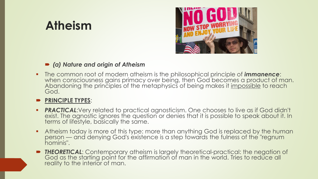### **Atheism**



#### *(a) Nature and origin of Atheism*

▪ The common root of modern atheism is the philosophical principle of *immanence*: when consciousness gains primacy over being, then God becomes a product of man. Abandoning the principles of the metaphysics of being makes it impossible to reach God.

#### **PRINCIPLE TYPES**:

- **PRACTICAL:**Very related to practical agnosticism. One chooses to live as if God didn't exist. The agnostic ignores the question or denies that it is possible to speak about it. In terms of lifestyle, basically the same.
- **Atheism today is more of this type: more than anything God is replaced by the human** person — and denying God's existence is a step towards the fulness of the "regnum hominis".
- **THEORETICAL:** Contemporary atheism is largely theoretical-practical: the negation of God as the starting point for the affirmation of man in the world. Tries to reduce all reality to the interior of man.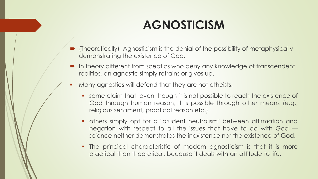### **AGNOSTICISM**

- (Theoretically) Agnosticism is the denial of the possibility of metaphysically demonstrating the existence of God.
- In theory different from sceptics who deny any knowledge of transcendent realities, an agnostic simply refrains or gives up.
- **•** Many agnostics will defend that they are not atheists:
	- some claim that, even though it is not possible to reach the existence of God through human reason, it is possible through other means (e.g., religious sentiment, practical reason etc.)
	- **•** others simply opt for a "prudent neutralism" between affirmation and negation with respect to all the issues that have to do with God science neither demonstrates the inexistence nor the existence of God.
	- The principal characteristic of modern agnosticism is that it is more practical than theoretical, because it deals with an attitude to life.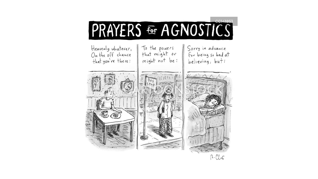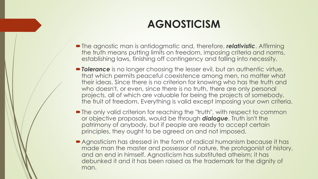### **AGNOSTICISM**

- The agnostic man is antidogmatic and, therefore, *relativistic*. Affirming the truth means putting limits on freedom, imposing criteria and norms, establishing laws, finishing off contingency and falling into necessity.
- **Proferance** is no longer choosing the lesser evil, but an authentic virtue, that which permits peaceful coexistence among men, no matter what their ideas. Since there is no criterion for knowing who has the truth and who doesn't, or even, since there is no truth, there are only personal projects, all of which are valuable for being the projects of somebody, the fruit of freedom. Everything is valid except imposing your own criteria.
- The only valid criterion for reaching the "truth", with respect to common or objective proposals, would be through *dialogue*. Truth isn't the patrimony of anybody, but if people are ready to accept certain principles, they ought to be agreed on and not imposed.
- Agnosticism has dressed in the form of radical humanism because it has made man the master and possessor of nature, the protagonist of history, and an end in himself. Agnosticism has substituted atheism; it has debunked it and it has been raised as the trademark for the dignity of man.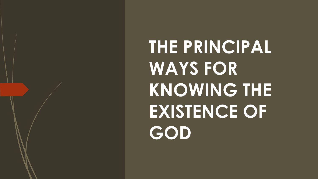**THE PRINCIPAL WAYS FOR KNOWING THE EXISTENCE OF GOD**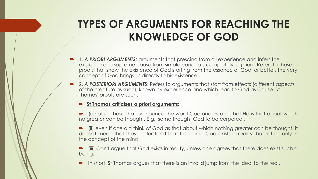### **TYPES OF ARGUMENTS FOR REACHING THE KNOWLEDGE OF GOD**

- 1. *A PRIORI ARGUMENTS*: arguments that prescind from all experience and infers the existence of a supreme cause from simple concepts completely "a priori". Refers to those proofs that show the existence of God starting from the essence of God, or better, the very concept of God brings us directly to his existence.
- 2. *A POSTERIORI ARGUMENTS*: Refers to arguments that start from effects (different aspects of the creature as such), known by experience and which lead to God as Cause. St Thomas' proofs are such.

#### **St Thomas criticises a priori arguments**:

- (i) not all those that pronounce the word God understand that He is that about which no greater can be thought. E.g., some thought God to be corporeal.
- (ii) even if one did think of God as that about which nothing greater can be thought, it doesn't mean that they understand that the name God exists in reality, but rather only in the concept of the mind.
- (iii) Can't argue that God exists in reality, unless one agrees that there does exist such a being.
- In short, St Thomas argues that there is an invalid jump from the ideal to the real.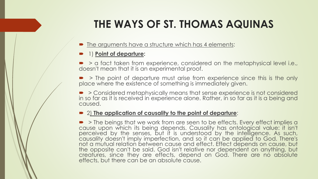### **THE WAYS OF ST. THOMAS AQUINAS**

- The arguments have a structure which has 4 elements:
- 1) **Point of departure:**
- $\triangleright$   $\triangleright$  a fact taken from experience, considered on the metaphysical level i.e., doesn't mean that it is an experimental proof.
- **•** > The point of departure must arise from experience since this is the only place where the existence of something is immediately given.
- **> Considered metaphysically means that sense experience is not considered** in so far as it is received in experience alone. Rather, in so far as it is a being and caused.

#### 2) **The application of causality to the point of departure**:

**• > The beings that we work from are seen to be effects. Every effect implies a** cause upon which its being depends. Causality has ontological value: it isn't perceived by the senses, but it is understood by the intelligence. As such, causality doesn't imply imperfection, and so it can be applied to God. There's not a mutual relation between cause and effect. Effect depends on cause, but the opposite can't be said. God isn't relative nor dependent on anything, but creatures, since they are effects, depend on God. There are no absolute effects, but there can be an absolute cause.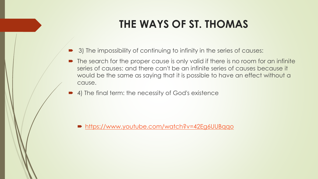### **THE WAYS OF ST. THOMAS**

- 3) The impossibility of continuing to infinity in the series of causes:
- The search for the proper cause is only valid if there is no room for an infinite series of causes: and there can't be an infinite series of causes because it would be the same as saying that it is possible to have an effect without a cause.
- 4) The final term: the necessity of God's existence

■ <https://www.youtube.com/watch?v=42Eg6UUBqqo>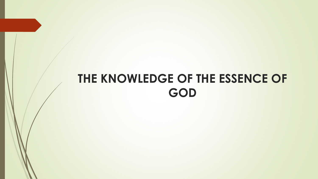### **THE KNOWLEDGE OF THE ESSENCE OF GOD**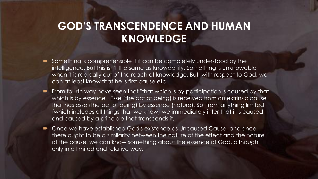### **GOD'S TRANSCENDENCE AND HUMAN KNOWLEDGE**

- Something is comprehensible if it can be completely understood by the intelligence. But this isn't the same as knowability. Something is unknowable when it is radically out of the reach of knowledge. But, with respect to God, we can at least know that he is first cause etc.
- From fourth way have seen that "that which is by participation is caused by that which is by essence". Esse (the act of being) is received from an extrinsic cause that has esse (the act of being) by essence (nature). So, from anything limited (which includes all things that we know) we immediately infer that it is caused and caused by a principle that transcends it.
- Once we have established God's existence as Uncaused Cause, and since there ought to be a similarity between the nature of the effect and the nature of the cause, we can know something about the essence of God, although only in a limited and relative way.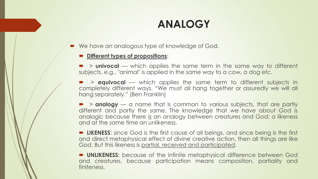### **ANALOGY**

■ We have an analogous type of knowledge of God.

#### **Different types of propositions**:

 > **univocal** — which applies the same term in the same way to different subjects. e.g.. "animal" is applied in the same way to a cow, a dog etc.

 > **equivocal** — which applies the same term to different subjects in completely different ways. "We must all hang together or assuredly we will all hang separately." (Ben Franklin)

**• > analogy** — a name that is common to various subjects, that are partly different and partly the same. The knowledge that we have about God is analogic because there is an analogy between creatures and God: a likeness and at the same time an unlikeness.

**LIKENESS:** since God is the first cause of all beings, and since being is the first and direct metaphysical effect of divine creative action, then all things are like God. But this likeness is partial, received and participated.

**DIMERTESS:** because of the infinite metaphysical difference between God and creatures, because participation means composition, partiality and finiteness.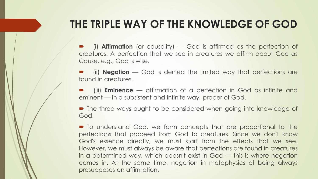### **THE TRIPLE WAY OF THE KNOWLEDGE OF GOD**

 (i) **Affirmation** (or causality) — God is affirmed as the perfection of creatures. A perfection that we see in creatures we affirm about God as Cause. e.g., God is wise.

 (ii) **Negation** — God is denied the limited way that perfections are found in creatures.

 (iii) **Eminence** — affirmation of a perfection in God as infinite and eminent — in a subsistent and infinite way, proper of God.

 The three ways ought to be considered when going into knowledge of God.

 $\blacksquare$  To understand God, we form concepts that are proportional to the perfections that proceed from God to creatures. Since we don't know God's essence directly, we must start from the effects that we see. However, we must always be aware that perfections are found in creatures in a determined way, which doesn't exist in God — this is where negation comes in. At the same time, negation in metaphysics of being always presupposes an affirmation.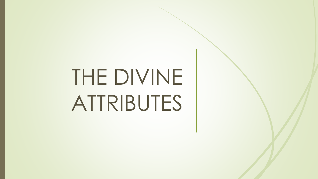# THE DIVINE ATTRIBUTES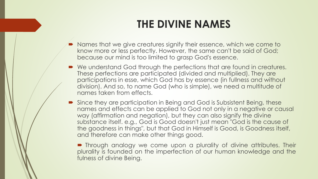### **THE DIVINE NAMES**

- Names that we give creatures signify their essence, which we come to know more or less perfectly. However, the same can't be said of God; because our mind is too limited to grasp God's essence.
- We understand God through the perfections that are found in creatures. These perfections are participated (divided and multiplied). They are participations in esse, which God has by essence (in fullness and without division). And so, to name God (who is simple), we need a multitude of names taken from effects.
- Since they are participation in Being and God is Subsistent Being, these names and effects can be applied to God not only in a negative or causal way (affirmation and negation), but they can also signify the divine substance itself. e.g., God is Good doesn't just mean "God is the cause of the goodness in things", but that God in Himself is Good, is Goodness itself, and therefore can make other things good.

**•** Through analogy we come upon a plurality of divine attributes. Their plurality is founded on the imperfection of our human knowledge and the fulness of divine Being.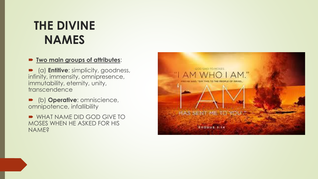### **THE DIVINE NAMES**

#### **Two main groups of attributes**:

 (a) **Entitive**: simplicity, goodness, infinity, immensity, omnipresence, immutability, eternity, unity, transcendence

 (b) **Operative**: omniscience, omnipotence, infallibility

**WHAT NAME DID GOD GIVE TO** MOSES WHEN HE ASKED FOR HIS NAME?

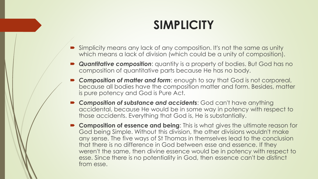### **SIMPLICITY**

- Simplicity means any lack of any composition. It's not the same as unity which means a lack of division (which could be a unity of composition).
- **Quantitative composition:** quantity is a property of bodies. But God has no composition of quantitative parts because He has no body.
- *Composition of matter and form*: enough to say that God is not corporeal, because all bodies have the composition matter and form. Besides, matter is pure potency and God is Pure Act.
- *Composition of substance and accidents*: God can't have anything accidental, because He would be in some way in potency with respect to those accidents. Everything that God is, He is substantially.
- **Composition of essence and being**: This is what gives the ultimate reason for God being Simple. Without this division, the other divisions wouldn't make any sense. The five ways of St Thomas in themselves lead to the conclusion that there is no difference in God between esse and essence. If they weren't the same, then divine essence would be in potency with respect to esse. Since there is no potentiality in God, then essence can't be distinct from esse.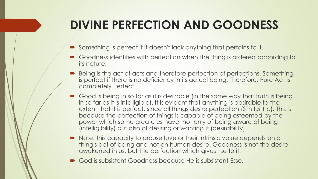### **DIVINE PERFECTION AND GOODNESS**

- Something is perfect if it doesn't lack anything that pertains to it.
- Goodness identifies with perfection when the thing is ordered according to its nature.
- Being is the act of acts and therefore perfection of perfections. Something is perfect if there is no deficiency in its actual being. Therefore, Pure Act is completely Perfect.
- Good is being in so far as it is desirable (in the same way that truth is being in so far as it is intelligible). It is evident that anything is desirable to the extent that it is perfect, since all things desire perfection (STh I,5,1,c). This is because the perfection of things is capable of being esteemed by the power which some creatures have, not only of being aware of being (intelligibility) but also of desiring or wanting it (desirability).
- Note: this capacity to arouse love or their intrinsic value depends on a thing's act of being and not on human desire. Goodness is not the desire awakened in us, but the perfection which gives rise to it.
- God is subsistent Goodness because He is subsistent Esse.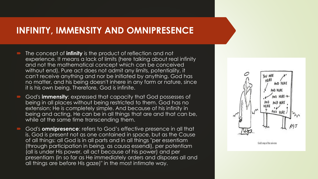#### **INFINITY, IMMENSITY AND OMNIPRESENCE**

- The concept of **infinity** is the product of reflection and not experience. It means a lack of limits (here talking about real infinity and not the mathematical concept which can be conceived without end). Pure act does not admit any limits, potentiality, it can't receive anything and nor be initiated by anything. God has no matter, and his being doesn't inhere in any form or nature, since it is his own being. Therefore, God is infinite.
- God's **immensity**: expressed that capacity that God possesses of being in all places without being restricted to them. God has no extension; He is completely simple. And because of his infinity in being and acting, He can be in all things that are and that can be, while at the same time transcending them.
- God's **omnipresence**: refers to God's effective presence in all that is. God is present not as one contained in space, but as the Cause of all things: all God is in all parts and in all things "per essentiam (through participation in being, as causa essendi), per potentiam (all is under His power, all act because of his power) and per presentiam (in so far as He immediately orders and disposes all and all things are before His gaze)" in the most intimate way.

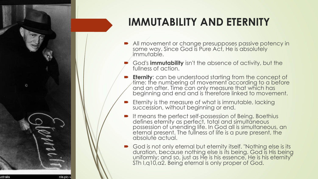

### **IMMUTABILITY AND ETERNITY**

- All movement or change presupposes passive potency in some way. Since God is Pure Act, He is absolutely *immutable.* 
	- God's **immutability** isn't the absence of activity, but the fullness of action.
- **Eternity**: can be understood starting from the concept of time: the numbering of movement according to a before and an after. Time can only measure that which has beginning and end and is therefore linked to movement.
- $\blacktriangleright$  Eternity is the measure of what is immutable, lacking succession, without beginning or end.
- **If means the perfect self-possession of Being. Boethius** defines eternity as perfect, total and simultaneous possession of unending life. In God all is simultaneous, an eternal present. The fullness of life is a pure present, the absolute actual.
- God is not only eternal but eternity itself. "Nothing else is its duration, because nothing else is its being. God is His being uniformly; and so, just as He is his essence, He is his eternity" STh I,q10,a2. Being eternal is only proper of God.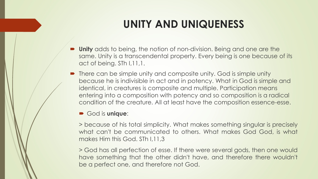### **UNITY AND UNIQUENESS**

- **Unity** adds to being, the notion of non-division. Being and one are the same. Unity is a transcendental property. Every being is one because of its act of being. STh I,11,1.
- There can be simple unity and composite unity. God is simple unity because he is indivisible in act and in potency. What in God is simple and identical, in creatures is composite and multiple. Participation means entering into a composition with potency and so composition is a radical condition of the creature. All at least have the composition essence-esse.

#### God is **unique**:

> because of his total simplicity. What makes something singular is precisely what can't be communicated to others. What makes God God, is what makes Him this God. STh I,11,3

> God has all perfection of esse. If there were several gods, then one would have something that the other didn't have, and therefore there wouldn't be a perfect one, and therefore not God.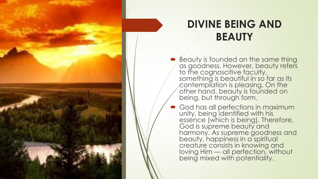

### **DIVINE BEING AND BEAUTY**

- Beauty is founded on the same thing as goodness. However, beauty refers to the cognoscitive faculty, something is beautiful in so far as its contemplation is pleasing. On the other hand, beauty is founded on being, but through form.
- God has all perfections in maximum unity, being identified with his essence (which is being). Therefore, God is supreme beauty and harmony. As supreme goodness and beauty, happiness in a spiritual creature consists in knowing and loving Him — all perfection, without being mixed with potentiality.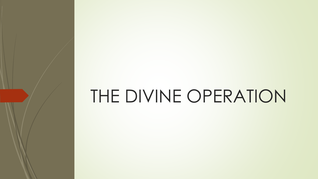## THE DIVINE OPERATION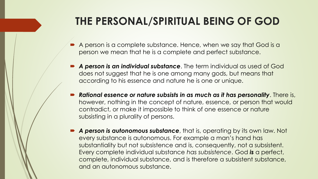### **THE PERSONAL/SPIRITUAL BEING OF GOD**

- A person is a complete substance. Hence, when we say that God is a person we mean that he is a complete and perfect substance.
- *A person is an individual substance*. The term individual as used of God does not suggest that he is one among many gods, but means that according to his essence and nature he is one or unique.
- *Rational essence or nature subsists in as much as it has personality*. There is, however, nothing in the concept of nature, essence, or person that would contradict, or make it impossible to think of one essence or nature subsisting in a plurality of persons.
- **A person is autonomous substance**, that is, operating by its own law. Not every substance is autonomous. For example a man's hand has substantiality but not subsistence and is, consequently, not a subsistent. Every complete individual substance *has subsistence*. God *is* a perfect, complete, individual substance, and is therefore a subsistent substance, and an autonomous substance.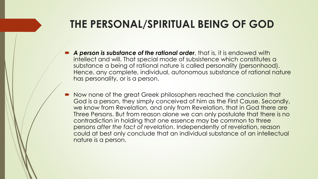### **THE PERSONAL/SPIRITUAL BEING OF GOD**

- *A person is substance of the rational order*, that is, it is endowed with intellect and will. That special mode of subsistence which constitutes a substance a being of rational nature is called personality (personhood). Hence, any complete, individual, autonomous substance of rational nature has personality, or is a person.
- Now none of the great Greek philosophers reached the conclusion that God is a person, they simply conceived of him as the First Cause. Secondly, we know from Revelation, and only from Revelation, that in God there are Three Persons. But from reason alone we can only postulate that there is no contradiction in holding that one essence may be common to three persons *after the fact of revelation*. Independently of revelation, reason could at best only conclude that an individual substance of an intellectual nature is a person.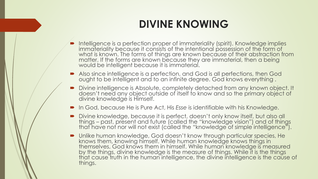### **DIVINE KNOWING**

- **Intelligence is a perfection proper of immateriality (spirit). Knowledge implies** immateriality because it consists of the intentional possession of the form of what is known. The forms of things are known because of their abstraction from matter. If the forms are known because they are immaterial, then a being would be intelligent because it is immaterial.
- Also since intelligence is a perfection, and God is all perfections, then God ought to be intelligent and to an infinite degree. God knows everything .
- Divine intelligence is Absolute, completely detached from any known object. It doesn't need any object outside of itself to know and so the primary object of divine knowledge is Himself.
- In God, because He is Pure Act, His *Esse* is identifiable with his Knowledge.
- Divine knowledge, because it is perfect, doesn't only know itself, but also all things – past, present and future (called the "knowledge vision") and of things that have not nor will not exist (called the "knowledge of simple intelligence").
- Unlike human knowledge, God doesn't know through particular species, He knows them, knowing himself. While human knowledge knows things in themselves, God knows them in himself. While human knowledge is measured by the things, divine knowledge is the measure of things. While it is the things that cause truth in the human intelligence, the divine intelligence is the cause of things.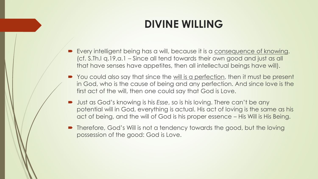### **DIVINE WILLING**

- Every intelligent being has a will, because it is a consequence of knowing. (cf. S.Th.I q.19,a.1 – Since all tend towards their own good and just as all that have senses have appetites, then all intellectual beings have will).
- You could also say that since the will is a perfection, then it must be present in God, who is the cause of being and any perfection. And since love is the first act of the will, then one could say that God is Love.
- Just as God's knowing is his *Esse*, so is his loving. There can't be any potential will in God, everything is actual. His act of loving is the same as his act of being, and the will of God is his proper essence – His Will is His Being.
- Therefore, God's Will is not a tendency towards the good, but the loving possession of the good: God is Love.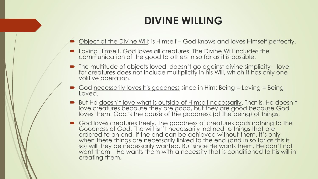### **DIVINE WILLING**

- Object of the Divine Will: is Himself God knows and loves Himself perfectly.
- Loving Himself, God loves all creatures. The Divine Will includes the communication of the good to others in so far as it is possible.
- The multitude of objects loved, doesn't go against divine simplicity love for creatures does not include multiplicity in his Will, which it has only one volitive operation.
- God necessarily loves his goodness since in Him: Being = Loving = Being Loved.
- But He doesn't love what is outside of Himself necessarily. That is, He doesn't love creatures because they are good, but they are good because God loves them. God is the cause of the goodness (of the being) of things.
- God loves creatures freely. The goodness of creatures adds nothing to the Goodness of God. The will isn't necessarily inclined to things that are ordered to an end, if the end can be achieved without them. It's only when these things are necessarily linked to the end (and in so far as this is so) will they be necessarily wanted. But since He wants them, He can't not want them – He wants them with a necessity that is conditioned to his will in creating them.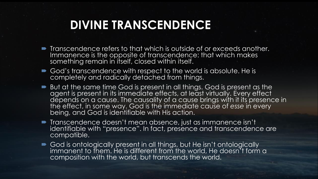### **DIVINE TRANSCENDENCE**

- Transcendence refers to that which is outside of or exceeds another. Immanence is the opposite of transcendence: that which makes something remain in itself, closed within itself.
- God's transcendence with respect to the world is absolute. He is completely and radically detached from things.
- But at the same time God is present in all things. God is present as the agent is present in its immediate effects, at least virtually. Every effect depends on a cause. The causality of a cause brings with it its presence in the effect, in some way. God is the immediate cause of *esse* in every being, and God is identifiable with His action.
- **Transcendence doesn't mean absence, just as immanence isn't** identifiable with "presence". In fact, presence and transcendence are compatible.
- God is ontologically present in all things, but He isn't ontologically immanent to them. He is different from the world, He doesn't form a composition with the world, but transcends the world.